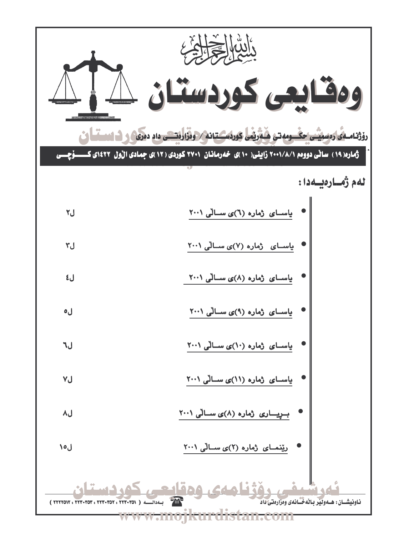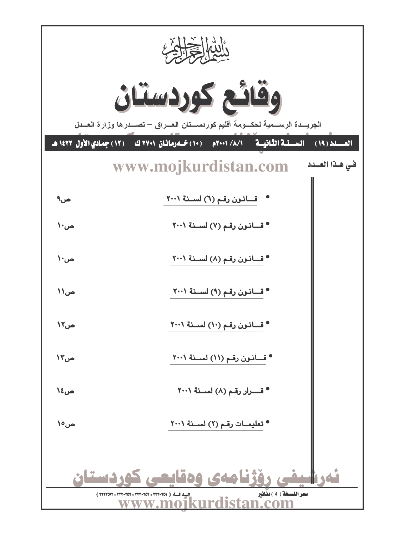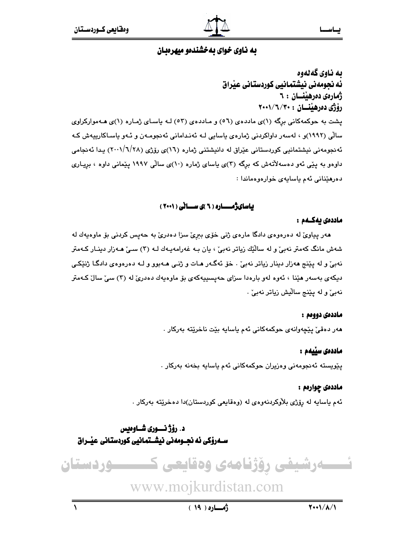

به ناوي گه لهوه ئه نجومهني نيشتمانيي كوردستاني عيراق ژمارەي دەرھىنسان : ٦ رۆژى دەرھێنسان : ۲۰۰۱/٦/۲۰۰ پشت به حوکمهکانی برگه (۱)ی ماددهی (٥٦) و ماددهی (٥٣) لـه باسـای ژمـاره (۱)ی هـهموارکراوی سالی (۱۹۹۲)و ، لەسەر داواكردنی ژمارەی ياسايی لـه ئەنـدامانی ئەنجومـەن و ئـەو ياسـاكارپيەش كـه ئەنجومەنى نيشتمانيى كوردستانى عێراق لە دانيشتنى ژمارە (١٦)ى رۆژى (٢٨/٦/٢٨) يـدا ئەنجامى داوهو به یێی ئهو دهسهلأتهش که برگه (۳)ی یاسای ژماره (۱۰)ی سالی ۱۹۹۷ یێمانی داوه ، بریـاری دەرھێنانى ئەم ياسايەي خوارەوەماندا :

#### باسای ژمــاره ( ٦ )ی ســانی ( ٢٠٠١ )

#### ماددەى ئەكــەم :

هەر پیاویؒ له دەرەوەي دادگا مارەي ژنی خۆی بېریؒ سزا دەدریؒ به حەپس کردنی بۆ ماوەپەك لە شەش مانگ كەمتر نەبىؒ و لە سالاِّيْك زياتر نەبىؒ ، يان بـە غەرامەيـەك لـە (٣) سـىؒ ھـەزار دېنـار كـەمتر نهبيٌّ و له پێنج ههزار دينار زياتر نهبيٌّ . خوّ ئهگـهر هـات و ژنـي هـهبوو و لـه دهرهوهي دادگـا ژنێکـي دیکهی بهسهر هێنا ، ئهوه لهو بارهدا سزای حهیسییهکهی بۆ ماوهیهك دهدریٚ له (۳) سیّ سالٌ کـهمتر نەبىؒ و لە يێنج ساڵيش زياتر نەبىؒ ٠

#### ماددەى دووەم :

هەر دەقى ييچەوانەي حوكمەكانى ئەم ياسايە بيّت ناخريّتە بەركار .

#### ماددەى سىّىمم :

يٽويسته ئەنجومەنى وەزيران حوكمەكانى ئەم ياسايە بخەنە بەركار .

#### ماددهۍ چوارهم :

ئهم ياسايه له رۆژي بلاّوكردنهوهي له (وهقايعي كوردستان)دا دهخرێته بهركار .

د. رؤژ نسوری شـاوهیس ســـهرۆکی ئه نجــومەنی نیشــتمـانیی کوردستـانی عیــْــراق



## www.mojkurdistan.com

 $\lambda$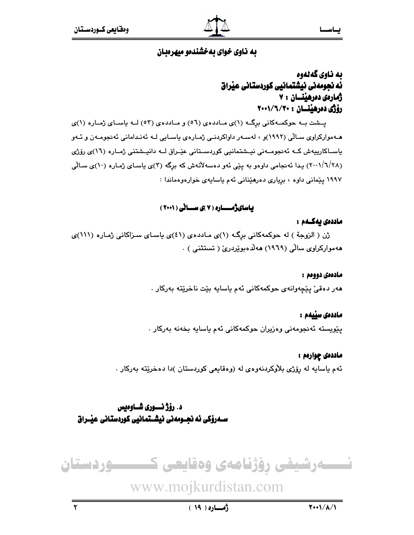## به ناوي گەنەوە ئه نجومەنى نيشتمانيى كوردستانى عيراق ژمار*هي ده*رهينسان ۷۰ رۆژى دەرھينسان : ٢٠٠١/٦/٢٠٠

پسشت بـه حوکمـهکانی برِگـه (۱)ی مـاددهی (٥٦) و مـاددهی (٥٣) لـه ياسـای ژمـاره (۱)ی هـهموارکراوی سـالّی (۱۹۹۲)و ، لهسـهر داواکردنـی ژمـارهی یاسـایی لـه ئهنـدامانی ئهنجومـهن و ئـهو باسـاكارییەش كــه ئەنجومــەنى نیـشتمانیى كوردســتانى عێـراق لــه دانیـشتنى ژمـاره (١٦)ى رۆژى (۲۰۰۱/٦/۲۸) یدا ئهنجامی داوهو به پێی ئهو دهسهلأتهش که برگه (۳)ی یاسای ژماره (۱۰)ی سالی ۱۹۹۷ پێمانی داوه ، بریاری دهرهێنانی ئهم یاسایهی خوارهوهماندا :

## یاسایژمــاره (۷)ی سـانی (۲۰۰۱)

#### ماددەى يەكــەم :

ژن (الزوجة ) له حوكمهكانى برگ (١)ى ماددهى (٤١)ى ياساى سزاكانى ژماره (١١١)ى ههموارکراوی سالْی (۱۹۶۹) ههلْدهبویْردریْ ( تستثنی ) .

#### مادەەى دووەم :

هەر دەقىؒ يێڇەوانەي حوكمەكانى ئەم ياسايە بێت ناخرێتە بەركار .

#### ماددەى سىّىمم :

پێویسته ئەنجومەنی وەزیران حوکمەکانی ئەم یاسایە بخەنە بەرکار .

#### ماددهۍ چوارهم :

ئهم ياسايه له رۆژي بلاوكردنهوەي له (وەقايعى كوردستان )دا دەخرێتە بەركار .

## د. رؤژ نسوري شـاوهيس

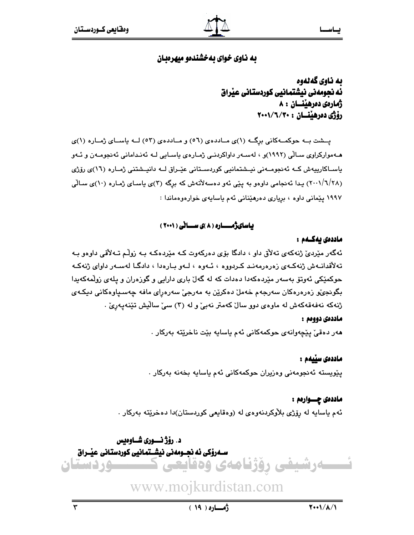به ناوي گەلەوە ئه نجومەنى نيشتمانيى كوردستانى عيْراق زمار*هي ده*رهينسان : ٨ رۆژى دەرھننسان : ٢٠٠١/٦/٢٠٠٠

یــشت بــه حوکمــهکانی برگــه (۱)ی مــاددهی (٥٦) و مــاددهی (٥٣) لــه یاســای ژمــاره (۱)ی هــهموارکراوی ســالّی (۱۹۹۲)و ، لهسـهر داواکردنـی ژمـاره $\bm{s}$  یاسـایی لـه ئهنـدامانی ئهنجومـهن و ئـهو ياسـاكارييەش كــه ئەنجومــەنى نيــشتمانيى كوردســتانى عيّـراق لــه دانيــشتنى ژمــاره (١٦)ى رۆژى (۲۰۰۱/٦/۲۸) بدا ئەنجامى داوەو بە يێى ئەو دەسەلاتەش كە برگە (٣)ى ياساي ژمارە (١٠)ى سالى ١٩٩٧ يێمانى داوه ، بريارى دەرھێنانى ئەم ياسايەى خوارەوەماندا :

## باسای ژمــاره ( ۸ )ی سـانی ( ۲۰۰۱ )

#### ماددەى يەكــەم :

ئەگەر مێردیٚ ژنەكەي تەلاق داو ، دادگا بۆي دەركەوت كـه مێردەكـه بـه زوڵم تـەلاقى داوەو بـه تەلاقدانــەش ژنەكــەي زەرەرمەنـد كـردووه ، ئــەوە ، لــەو بــارەدا ، دادگــا لەســەر داواي ژنەكــە حوکمێکی ئەوتۆ بەسەر مێردەکەدا دەدات کە لە گەلّ بارى دارايى و گوردەران و يلەى زولمەکەيدا بگونجيٌو زەرەرەكان سەرجەم خەملٌ دەكريّن بە مەرجىؒ سەرەراي مافە چەسىياوەكانى دېكـەي ژنهکه نهفهقهکهش له ماوهی دوو سالٌ کهمتر نهبیؒ و له (۳) سی ٘سالٌیش تێنهیهریؒ .

#### ماددەى دووەم :

هەر دەقى يێچەوانەي حوكمەكانى ئەم ياسايە بێت ناخرێتە بەركار .

#### ماددەى سێيەم :

يێويسته ئەنجومەنى وەزيران حوكمەكانى ئەم ياسايە بخەنە بەركار .

ماددەى چـــوارەم : ئهم ياسايه له رۆژي بلاْوكردنەوەي لە (وەقايعى كوردستان)دا دەخرێتە بەركار .

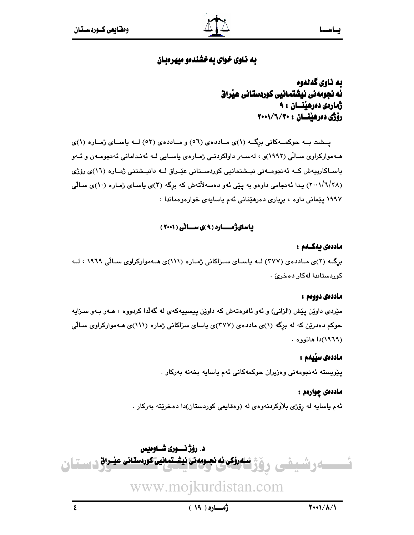ىە ناوي گەنەوە ئه نجومهنی نیشتمانیی کوردستانی عیداق ژمارەى دەرھىنسان : ٩ رۆژى دەرھينسان : ٢٠٠١/٦/٣٠

یسشت به حوکمهکانی برگ (۱)ی مـاددهی (٥٦) و مـاددهی (٥٣) لــه یاسـای ژمـاره (۱)ی هــهموارکراوی ســالّی (۱۹۹۲)و ، لهسـهر داواکردنـی ژمـاره $\bm{s}$  پاسـایی لـه ئهنـدامانی ئهنجومـهن و ئــهو باسـاكارييەش كــه ئەنجومــەنى نيــشتمانيى كوردســتانى عێـراق لــه دانيــشتنى ژمــاره (١٦)ى رۆژى (۲۰۰۱/٦/۲۸) پیدا ئەنجامی داوەو بە يێی ئەو دەسەلاتەش کە برگە (۳)ی ياسـای ژمـارە (۱۰)ی سـالّی ۱۹۹۷ پێمانی داوه ، بږیاری دهرهێنانی ئهم یاسایهی خوارهوهماندا :

#### باسایژمــاره ( ۹ )ی سـانی ( ۲۰۰۱ )

#### ماددەى يەكــەم :

برگ) (۲)ی مـاددهی (۳۷۷) لــه یاســای ســزاکانی ژمــاره (۱۱۱)ی هــهموارکراوی ســالّی ۱۹٦۹ ، لــه كوربستاندا لەكار دەخرى .

#### ماددەى دووەم :

مێردی داوێن پێش (الزانی) و ئەو ئافرەتەش کە داوێن پیسییەکەی لە گەلّدا کردووە ، ھـەر بـەو سـزایە حوکم دهدرین که له برگه (۱)ی ماددهی (۳۷۷)ی پاسای سزاکانی ژماره (۱۱۱)ی هـهموارکراوی سـالّی (١٩٦٩)دا هاتووه .

#### ماددەى سىّىمم:

پێويسته ئەنجومەنى وەزيران حوكمەكانى ئەم ياسايە بخەنە بەركار .

#### ماددهۍ چوارهم :

ئهم ياسايه له رۆژي بلاْوكردنهوهي له (وهقايعي كوردستان)دا دمخرێته بهركار .

د. رۆژ نـــورى شــاوەبس <u>مروکی نه نجسومه تی نیش تمانیی کوردستانی عیسراق در مستقل ن</u>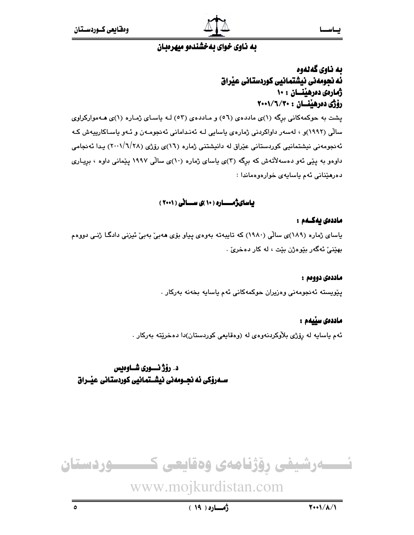

## به ناوي گەنەوە ئه نجومەنى نيشتمانيى كوردستانى عيراق ژمارەي دەرھىنسان : ١٠ رۆژى دەرھىنسان : ٢٠٠١/٦/٢٠٠

پشت به حوکمهکانی برگه (۱)ی ماددهی (٥٦) و مـاددهی (٥٣) لـه باسـای ژمـاره (۱)ی هـهموارکراوی سالی (۱۹۹۲)و ، لەسەر داواكردنی ژمارەی ياسايی لـه ئەنـدامانی ئەنجومـەن و ئـەو ياسـاكارپيەش كـه ئەنجومەنى نيشتمانيى كوردستانى عێراق لە دانيشتنى ژمارە (١٦)ى رۆژى (٢٨/٦/٢٨) يـدا ئەنجامى داوهو به پێی ئهو دهسهلأتهش که برگه (۳)ی پاسای ژماره (۱۰)ی سالی ۱۹۹۷ پێمانی داوه ، بریـاری دەرھێنانى ئەم باسابەي خوارەوەماندا :

## باسای ژمــاره (۱۰)ی سـانی (۲۰۰۱)

#### ماددەى يەكــەم :

یاسای ژماره (۱۸۹)ی سالّی (۱۹۸۰) که تایبهته بهوهی پیاو بۆی ههبیّ بهبیّ ئیزنی دادگـا ژنـی دووهم پهٽِني ئهگەر پٽووژن پٽت ، له کار دوخريٰ .

#### ماددەى دووەم :

يێويسته ئەنجومەنى وەزيران حوكمەكانى ئەم ياسايە بخەنە بەركار .

#### ماددەى سىّىمم:

ئهم ياسايه له رۆژي بلاّوكردنهوهي له (وهقايعي كوردستان)دا دهخرێته بهركار .

## د. رۆژ نـــورى شــاوەبس ســـهرۆکی ئه نجــومەنی نیشــتمـانیی کوردستـانی عیــْــراق

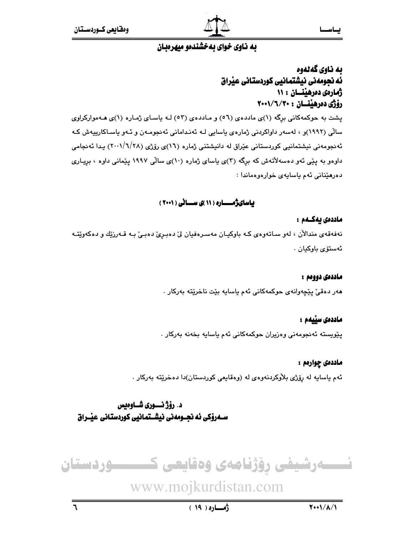

## به ناوي گەنەوە ئه نجومەنى نيشتمانيى كوردستانى عيراق ژمارەى دەرھىنسان : ١١ رۆژى دەرھىنسان : ٢٠٠١/٦/٢٠٠

پشت به حوکمهکانی برگه (۱)ی ماددهی (٥٦) و مـاددهی (٥٣) لـه باسـای ژمـاره (۱)ی هـهموارکراوی سالی (۱۹۹۲)و ، لەسەر داواكردنی ژمارەی ياسايی لـه ئەنـدامانی ئەنجومـەن و ئـەو ياسـاكارپيەش كـه ئەنجومەنى نيشتمانيى كوردستانى عێراق لە دانيشتنى ژمارە (١٦)ى رۆژى (٢٨/٦/٢٨) يـدا ئەنجامى داوهو به پێی ئهو دهسهلأتهش که برگه (۳)ی پاسای ژماره (۱۰)ی سالی ۱۹۹۷ پێمانی داوه ، بریـاری دەرھێنانى ئەم باسابەي خوارەوەماندا :

### باسای ژمــاره ( ۱۱ )ی سـانی ( ۲۰۰۱ )

#### ماددەى بەكــەم :

نهفهقهي مندالآن ، لهو سـاتهوهي کـه باوکيـان مهسـرهفيان ليّ دهبـريّ دهبـيّ بـه قــهرزيّك و دهکهويّتـه ئەستۆي باوكيان .

#### ماددەى دوومم :

هەر دەقى ييچەوانەي حوكمەكانى ئەم ياسايە بيّت ناخريّتە بەركار .

#### ماددەى سێيەم :

يێويسته ئەنجومەنى وەزيران حوكمەكانى ئەم ياسايە بخەنە بەركار

## ماددەى چوارەم :

ئهم ياسايه له رۆژي بلاّوكردنهوهي له (وهقايعي كوردستان)دا دهخرێته بهركار .

## د. رۆژنسورى شـاوەبس

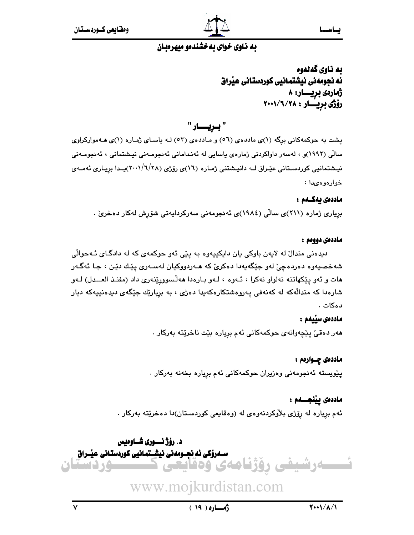به ناوي گەنەوە ئه نجومەنى نيشتمانيى كوردستانى عيراق ژمارەي بريــــار: ۸ رۆژى بريسار : ٢٠٠١/٦/٢

" بريــار "

پشت به حوکمهکانی برِگه (۱)ی ماددهی (٥٦) و مـاددهی (٥٣) لـه باسـای ژمـاره (۱)ی هـهموارکراوی سالی (۱۹۹۲)و ، لەسەر داواكردنى ژمارەی ياسايى لە ئەنـدامانى ئەنجومـەنى نيـشتمانى ، ئەنجومـەنى نیشتمانیی کوردستانی عیّراق لـه دانیشتنی ژمـاره (١٦)ی رۆژی (١/٦/٢٨)پـدا بریـاری ئهمـهی خوارەوەيدا :

#### ماددەى يەكــەم :

برِیاری ژماره (۲۱۱)ی سالّی (۱۹۸٤)ی ئەنجومەنی سەرکردایەتی شۆرش لەکار دەخریٚ .

#### ماددەى دووەم :

ديدهني مندالٌ له لايهن باوكي يان دايكييهوه به يێي ئهو حوكمهي كه له دادگـاي ئـهحوالّي شهخصيهوه دهردهچيّ لهو جێگهيهدا دهکريّ که هـهردووکيان لهسـهري پێك دێن ، جـا ئهگـهر هات و ئهو پێكهاتنه نهلواو نهكرا ، ئـهوه ، لـهو بـارهدا ههڵسوورێنهرى داد (مفنـذ العــدل) لـهو شارهدا که مندالّهکه له کهنهفی پهروهشتکارهکهیدا دهژی ، به بربارێك جێگهی دیدهنییهکه دیار دەكات .

#### ماددەى سێيەم :

هەر دەقىٰ پێچەوانەي حوكمەكانى ئەم برِيارە بێت ناخرێتە بەركار .

#### ماددەى چـوارەم :

پێویسته ئەنجومەنى وەزیران حوکمەکانى ئەم بږیارە بخەنە بەرکار .

### ماددەى يېٽجـــەم :

ئهم برياره له رۆژى بلاْوكردنەوەي لە (وەقايعى كوردسـتان)دا دەخرێتە بەركار .

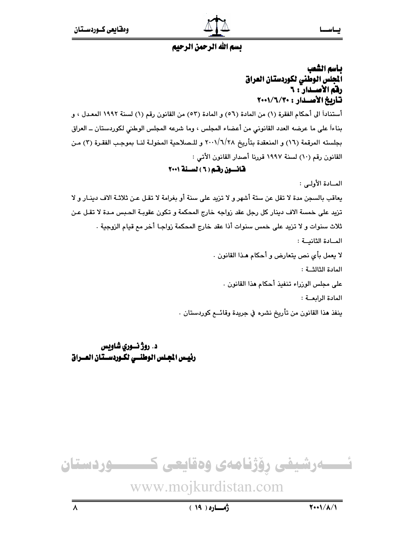

## بأسم الشعب الجلس الوطني لكوردستان العراق رفم الأصلدار": ٦ تأريخ الأصلدار : ٢٠٠١/٦/٢٠٠٠

أستناداً الى أحكام الفقرة (١) من المادة (٥٦) و المادة (٥٣) من القانون رقم (١) لسنة ١٩٩٢ المعـدل ، و بناءاً على ما عرضه العدد القانوني من أعضاء المجلس ، وما شرعه المجلس الوطني لكوردستان ــ العراق بجلسته المرقمة (١٦) و المنعقدة بتأريخ ٢٠٠١/٦/٢٨ و للـصلاحية المخولـة لنـا بموجب الفقـرة (٣) مـن القانون رقم (١٠) لسنة ١٩٩٧ قررنا أصدار القانون الأتي :

قانسون رقم ( ٦ ) لسنة ٢٠٠١

المبادة الأولى:

يعاقب بالسجن مدة لا تقل عن ستة أشهر و لا تزيد على سنة أو بغرامة لا تقـل عـن ثلاثـة الاف دينـار و لا تزيد على خمسة الاف دينار كل رجل عقد زواجه خارج المحكمة و تكون عقوبـة الحبس مـدة لا تقـل عـن ثلاث سنوات و لا تزيد على خمس سنوات أذا عقد خارج المحكمة زواجـا أخر مم قيام الزوجية . المادة الثانسة: لا يعمل بأي نص يتعارض و أحكام هـذا القانون . المادة الثالثــة : على مجلس الوزراء تنفيذ أحكام هذا القانون . المادة الرابعــة : ينفذ هذا القانون من تأريخ نشره في جريدة وقائـــع كوردستان .

د. روژ نسوري شاويس رئيس الجلس الوطنسى لكـوردسـتان العـراق

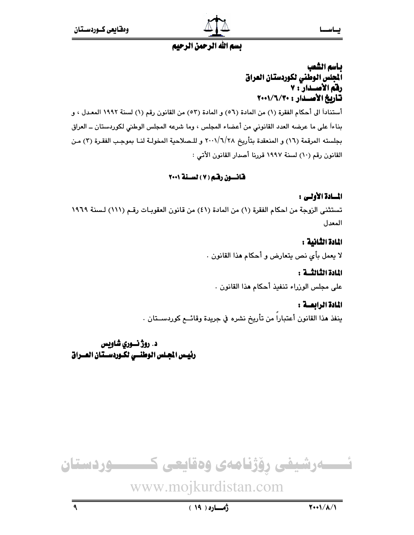

## يناسم الشعب الجلس الوطني لكوردستان العراق رفق الأصلدار : ٧ تأربخ الأصلدار : ٧٠٠١/٦/٢٠٠٠

أستناداً الى أحكام الفقرة (١) من المادة (٥٦) و المادة (٥٣) من القانون رقم (١) لسنة ١٩٩٢ المعـدل ، و بناءاً على ما عرضه العدد القانوني من أعضاء المجلس ، وما شرعه المجلس الوطني لكوردستان ــ العراق بجلسته المرقمة (١٦) و المنعقدة بتأريخ ٢٠٠١/٦/٢٨ و للـصلاحية المخولـة لنـا بموجب الفقـرة (٣) مـن القانون رقم (١٠) لسنة ١٩٩٧ قررنا أصدار القانون الأتي :

## قانسون رقم ( ۷ ) لسنة ۲۰۰۱

## المسادة الأولس :

تستثني الزوجة من احكام الفقرة (١) من المادة (٤١) من قانون العقوبات رقم (١١١) لسنة ١٩٦٩ المعدل

## المادة الثانية :

لا يعمل بأى نص يتعارض و أحكام هذا القانون .

## المادة الثَّالثُّــة :

على مجلس الوزراء تنفيذ أحكام هذا القانون .

## المادة الرابعسة :

ينفذ هذا القانون أعتبارا من تأريخ نشره في جريدة وقائــع كوردســتان .

د. روژ نسوري شاويس رئيس المجلس الوطنسي لكـوردسـتان العــراق



 $\mathbf{A}$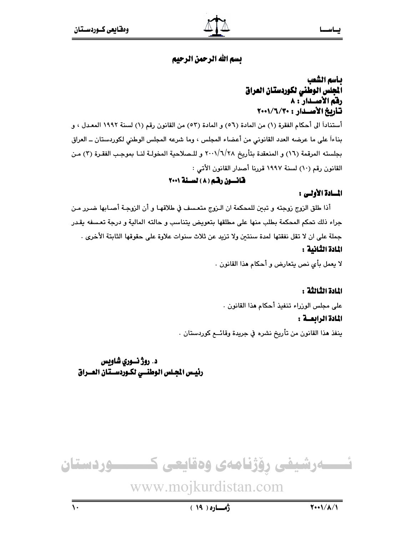## بأسم الشعب الجلس الوطنى لكوردستان العراق رفق الأصلدار : ٨ تأربخ الأصلدار : ٢٠٠١/٦/٢٠٠٠

أستناداً الى أحكام الفقرة (١) من المادة (٥٦) و المادة (٥٣) من القانون رقم (١) لسنة ١٩٩٢ المعـدل ، و بناءاً على ما عرضه العدد القانوني من أعضاء المجلس ، وما شرعه المجلس الوطني لكوردستان ــ العراق بجلسته المرقمة (١٦) و المنعقدة بتأريخ ٢٠٠١/٦/٢٨ و للـصلاحية المخولـة لنـا بموجب الفقـرة (٣) مـن القانون رقم (١٠) لسنة ١٩٩٧ قررنا أصدار القانون الأتي :

## قانسون رقبم (٨) لسنة ٢٠٠١

## المسادة الأولى :

أذا طلق الزوج زوجته و تبين للمحكمة ان الـزوج متعسف في طلاقهـا و أن الزوجـة أصـابها ضـرر مـن جراء ذلك تحكم المحكمة بطلب منها على مطلقها بتعويض يتناسب و حالته المالية و درجة تعسفه يقدر جملة على ان لا تقل نفقتها لمدة سنتين ولا تزيد عن ثلاث سنوات علاوة على حقوقها الثابتة الأخرى . المادة الثانية :

لا يعمل بأى نص يتعارض و أحكام هذا القانون .

## المادة الثالثة :

على مجلس الوزراء تنفيذ أحكام هذا القانون .

#### المادة الرابعسة :

ينفذ هذا القانون من تأريخ نشره في جريدة وقائــع كوردستان ٠

## د. روژ نسوري شاويس رئيس الجلس الوطنسي لكـوردسـتان العــراق

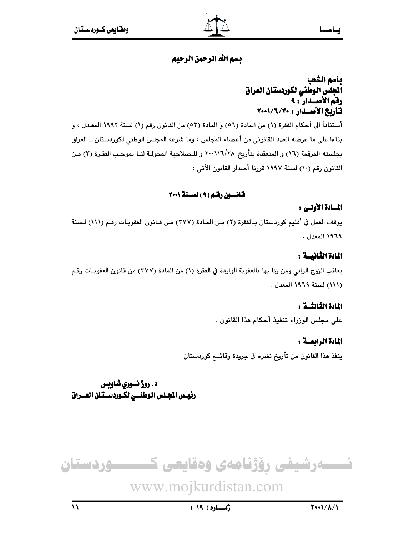## بأسم الشعب الجلس الوطنى لكوردستان العراق رفق الأصلدار : ٩ تأربخ الأصلدار : ٢٠٠١/٦/٢٠٠٠

أستناداً الى أحكام الفقرة (١) من المادة (٥٦) و المادة (٥٣) من القانون رقم (١) لسنة ١٩٩٢ المعـدل ، و بناءاً على ما عرضه العدد القانوني من أعضاء المجلس ، وما شرعه المجلس الوطني لكوردستان ــ العراق بجلسته المرقمة (١٦) و المنعقدة بتأريخ ٢٠٠١/٦/٢٨ و للـصلاحية المخولـة لنـا بموجب الفقـرة (٣) مـن القانون رقم (١٠) لسنة ١٩٩٧ قررنا أصدار القانون الأتي :

### قانسون رقم ( ۹ ) لسـنة ۲۰۰۱

### المسادة الأولس :

يوقف العمل في أقليم كوردستان بـالفقرة (٢) مـن المـادة (٣٧٧) مـن قـانون العقوبـات رقـم (١١١) لـسنة ١٩٦٩ المعدل .

## المادة الثانيسة :

يعاقب الزوج الزاني ومن زنا بها بالعقوبة الواردة في الفقرة (١) من المادة (٣٧٧) من قانون العقوبـات رقـم (١١١) لسنة ١٩٦٩ المعدل .

### المادة الثالثـــة :

على مجلس الوزراء تنفيذ أحكام هذا القانون .

### المادة الرابعــة :

ينفذ هذا القانون من تأريخ نشره في جريدة وقائـــع كوردستان .

د. روژ نسوري شاويس رئيس الجلس الوطنسي لكـوردسـتان العـراق

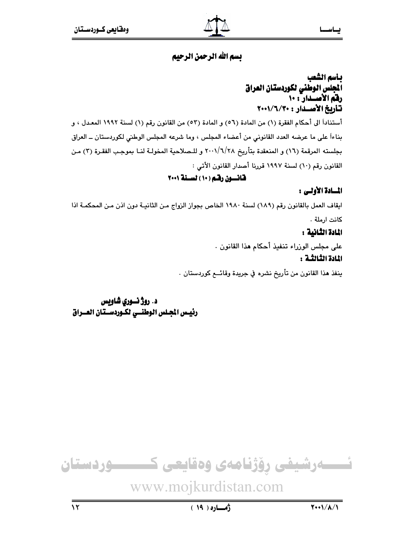## بأسم الشعب الجلس الوطني لكوردستان العراق رفق الأصلدار : ١٠ تأربخ الأصلدار : ٢٠٠١/٦/٢٠٠٠

أستناداً الى أحكام الفقرة (١) من المادة (٥٦) و المادة (٥٣) من القانون رقم (١) لسنة ١٩٩٢ المعـدل ، و بناءاً على ما عرضه العدد القانوني من أعضاء المجلس ، وما شرعه المجلس الوطني لكوردستان ــ العراق بجلسته المرقمة (١٦) و المنعقدة بتأريخ ٢٠٠١/٦/٢٨ و للـصلاحية المخولـة لنـا بموجب الفقـرة (٣) مـن القانون رقم (١٠) لسنة ١٩٩٧ قررنا أصدار القانون الأتي :

## قانسون رقم (١٠) لسنة ٢٠٠١

## المسادة الأولى :

ايقاف العمل بالقانون رقم (١٨٩) لسنة ١٩٨٠ الخاص بجواز الزواج من الثانيـة دون اذن مـن المحكمـة اذا كانت ارملة .

## المادة الثانية :

على مجلس الوزراء تنفيذ أحكام هذا القانون .

## المادة الثالثـة :

ينفذ هذا القانون من تأريخ نشره في جريدة وقائــع كوردستان .

د. روژ نسوري شاويس رئيس الجلس الوطنسي لكـوردسـتان العـراق

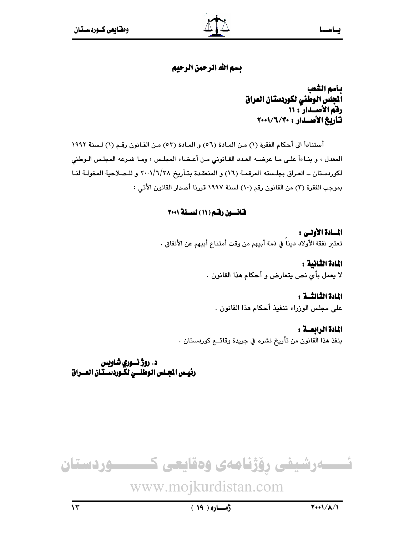بأسم الشعب أنجلس الوطني لكوردستان العراق رفق الأصلدار : ١١ تأريخ الأصدار : ٢٠٠١/٦/٢٠٠

أستناداً الى أحكام الفقرة (١) من المادة (٥٦) و المادة (٥٣) من القانون رقم (١) لسنة ١٩٩٢ المعدل ، و بنـاءاً علـى مـا عرضـه العـدد القـانوني مـن أعـضاء المجلـس ، ومـا شـرعه المجلـس الـوطني لكوردستان ــ العـراق بجلـسته المرقمـة (١٦) و المنعقـدة بتـأريخ ٢٠٠١/٦/٢٨ و للـصلاحية المخولـة لنـا بموجب الفقرة (٣) من القانون رقم (١٠) لسنة ١٩٩٧ قررنا أصدار القانون الأتي :

### قانسون رقم ( ١١ ) لسنة ٢٠٠١

المسادة الأولى : تعتبر نفقة الأولاد ديناً في ذمة أبيهم من وقت أمتناع أبيهم عن الأنفاق .

> المادة الثانية : لا يعمل بأى نص يتعارض و أحكام هذا القانون .

المادة الثالثـــة : على مجلس الوزراء تنفيذ أحكام هذا القانون .

المادة الرابعــة : ينفذ هذا القانون من تأريخ نشره في جريدة وقائــع كوردستان .

د. روژ نسوري شاويس رئيس الجلس الوطنسي لكّـوردسـتـان العــراق

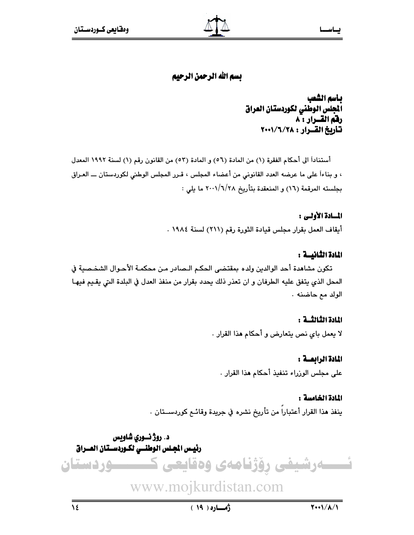## بأسم الشعب ألجلس الوطنى لكوردستان العراق رفق القسرار : ٨ تأريخ القرار: ٢٠٠١/٦/٢٠٠١

أستناداً الى أحكام الفقرة (١) من المادة (٥٦) و المادة (٥٣) من القانون رقم (١) لسنة ١٩٩٢ المعدل ، و بناءاً على ما عرضه العدد القانوني من أعضاء المجلس ، قـرر المجلس الوطني لكوردستان ـــ العـراق بجلسته المرقمة (١٦) و المنعقدة بتأريخ ٢٠٠١/٦/٢٨ ما يلي :

## المسادة الأولى :

أيقاف العمل بقرار مجلس قيادة الثورة رقم (٢١١) لسنة ١٩٨٤ .

## المادة الثانيسة :

تكون مشاهدة أحد الوالدين ولده بمقتضى الحكم الـصادر مـن محكمـة الأحـوال الشخـصية في المحل الذي يتفق عليه الطرفان و ان تعذر ذلك يحدد بقرار من منفذ العدل في البلدة التي يقيم فيهـا الولد مع حاضنه ٠

### المادة الثالثــة :

لا يعمل باي نص يتعارض و أحكام هذا القرار .

### المادة الرابعسة :

على مجلس الوزراء تنفيذ أحكام هذا القرار .

### المادة الخامسة :

ينفذ هذا القرار أعتبارا من تأريخ نشره في جريدة وقائـم كوردســتان .

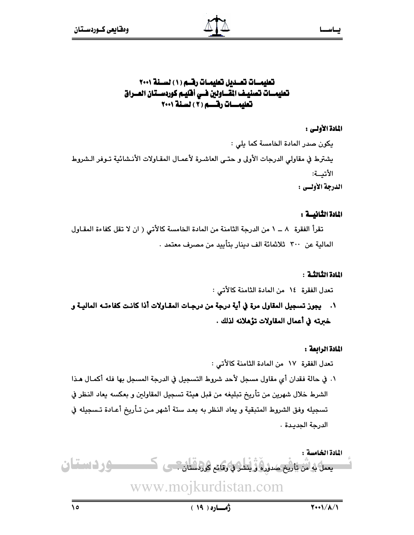## تعليمات تعـديل تعليمـات رقــم (١) لسـنة ٢٠٠١ تعليمـــات تصنيــف المقــــاولين فـــي أفليــم كوردســتـان المــــراق تعليمـــات رقـــــم (٢) لسنة ٢٠٠١

## المادة الأولى :

يكون صدر المادة الخامسة كما يلي : يشترط في مقاولي الدرجات الأولى و حتـى العاشـرة لأعمـال المقـاولات الأنـشائية تـوفر الـشروط الأتسة: الدرجة الأولبي :

### المادة الثانيسة :

تقرأ الفقرة ٨ ــ ١ من الدرجة الثامنة من المادة الخامسة كالأتى ( ان لا تقل كفاءة المقاول المالية عن ٣٠٠ ثلاثمائة الف دينار بتأييد من مصرف معتمد .

### المادة الثالثـة :

تعدل الفقرة ١٤ من المادة الثامنة كالأتى :

١. يجوز تسجيل المقاول مرة في أية درجة من درجـات المقـاولات أذا كانـت كفاءتـــه الماليــة و خبرته في أعمال المقاولات تؤهلانه لذلك .

### المادة الرابعة :

تعدل الفقرة ١٧ من المادة الثامنة كالأتى : ١. في حالة فقدان أي مقاول مسجل لأحد شروط التسجيل في الدرجة المسجل بها فله أكمـال هـذا الشرط خلال شهرين من تأريخ تبليغه من قبل هيئة تسجيل المقاولين و بعكسه يعاد النظر في تسجيله وفق الشروط المتبقية و يعاد النظر به بعد ستة أشهر مـن تـأريخ أعـادة تـسجيله في الدرجة الحديدة .